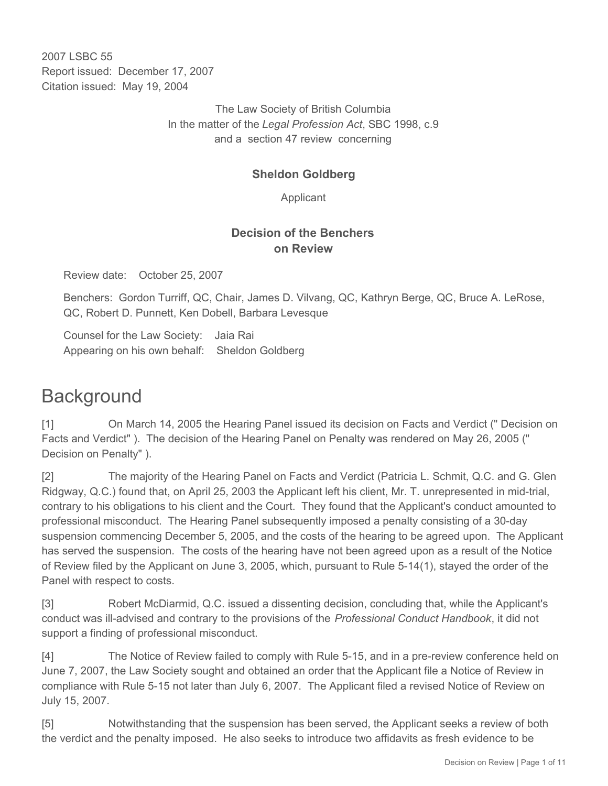2007 LSBC 55 Report issued: December 17, 2007 Citation issued: May 19, 2004

> The Law Society of British Columbia In the matter of the *Legal Profession Act*, SBC 1998, c.9 and a section 47 review concerning

# **Sheldon Goldberg**

Applicant

## **Decision of the Benchers on Review**

Review date: October 25, 2007

Benchers: Gordon Turriff, QC, Chair, James D. Vilvang, QC, Kathryn Berge, QC, Bruce A. LeRose, QC, Robert D. Punnett, Ken Dobell, Barbara Levesque

Counsel for the Law Society: Jaia Rai Appearing on his own behalf: Sheldon Goldberg

# **Background**

[1] On March 14, 2005 the Hearing Panel issued its decision on Facts and Verdict (" Decision on Facts and Verdict" ). The decision of the Hearing Panel on Penalty was rendered on May 26, 2005 (" Decision on Penalty" ).

[2] The majority of the Hearing Panel on Facts and Verdict (Patricia L. Schmit, Q.C. and G. Glen Ridgway, Q.C.) found that, on April 25, 2003 the Applicant left his client, Mr. T. unrepresented in mid-trial, contrary to his obligations to his client and the Court. They found that the Applicant's conduct amounted to professional misconduct. The Hearing Panel subsequently imposed a penalty consisting of a 30-day suspension commencing December 5, 2005, and the costs of the hearing to be agreed upon. The Applicant has served the suspension. The costs of the hearing have not been agreed upon as a result of the Notice of Review filed by the Applicant on June 3, 2005, which, pursuant to Rule 5-14(1), stayed the order of the Panel with respect to costs.

[3] Robert McDiarmid, Q.C. issued a dissenting decision, concluding that, while the Applicant's conduct was ill-advised and contrary to the provisions of the *Professional Conduct Handbook*, it did not support a finding of professional misconduct.

[4] The Notice of Review failed to comply with Rule 5-15, and in a pre-review conference held on June 7, 2007, the Law Society sought and obtained an order that the Applicant file a Notice of Review in compliance with Rule 5-15 not later than July 6, 2007. The Applicant filed a revised Notice of Review on July 15, 2007.

[5] Notwithstanding that the suspension has been served, the Applicant seeks a review of both the verdict and the penalty imposed. He also seeks to introduce two affidavits as fresh evidence to be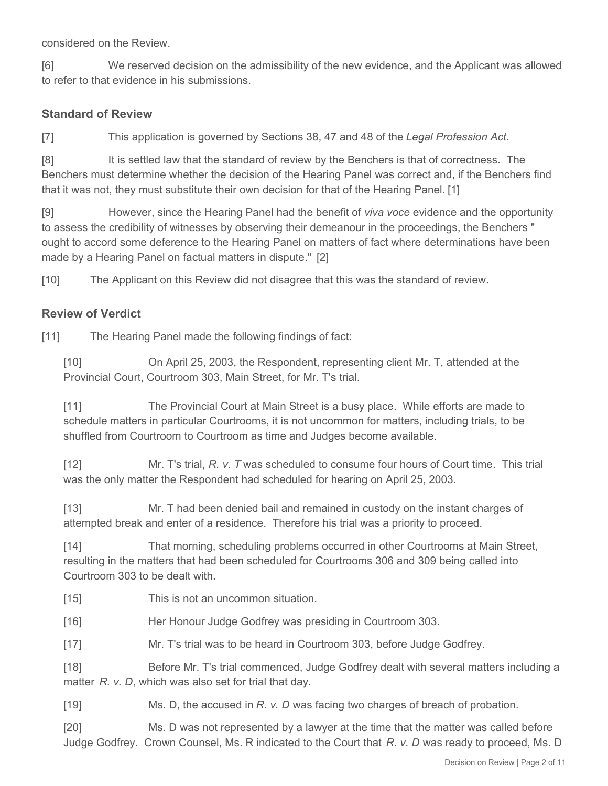considered on the Review.

[6] We reserved decision on the admissibility of the new evidence, and the Applicant was allowed to refer to that evidence in his submissions.

#### **Standard of Review**

[7] This application is governed by Sections 38, 47 and 48 of the *Legal Profession Act*.

[8] It is settled law that the standard of review by the Benchers is that of correctness. The Benchers must determine whether the decision of the Hearing Panel was correct and, if the Benchers find that it was not, they must substitute their own decision for that of the Hearing Panel. [1]

[9] However, since the Hearing Panel had the benefit of *viva voce* evidence and the opportunity to assess the credibility of witnesses by observing their demeanour in the proceedings, the Benchers " ought to accord some deference to the Hearing Panel on matters of fact where determinations have been made by a Hearing Panel on factual matters in dispute." [2]

[10] The Applicant on this Review did not disagree that this was the standard of review.

#### **Review of Verdict**

[11] The Hearing Panel made the following findings of fact:

[10] On April 25, 2003, the Respondent, representing client Mr. T, attended at the Provincial Court, Courtroom 303, Main Street, for Mr. T's trial.

[11] The Provincial Court at Main Street is a busy place. While efforts are made to schedule matters in particular Courtrooms, it is not uncommon for matters, including trials, to be shuffled from Courtroom to Courtroom as time and Judges become available.

[12] Mr. T's trial, *R. v. T* was scheduled to consume four hours of Court time. This trial was the only matter the Respondent had scheduled for hearing on April 25, 2003.

[13] Mr. T had been denied bail and remained in custody on the instant charges of attempted break and enter of a residence. Therefore his trial was a priority to proceed.

[14] That morning, scheduling problems occurred in other Courtrooms at Main Street, resulting in the matters that had been scheduled for Courtrooms 306 and 309 being called into Courtroom 303 to be dealt with.

[15] This is not an uncommon situation.

[16] Her Honour Judge Godfrey was presiding in Courtroom 303.

[17] Mr. T's trial was to be heard in Courtroom 303, before Judge Godfrey.

[18] Before Mr. T's trial commenced, Judge Godfrey dealt with several matters including a matter *R. v. D*, which was also set for trial that day.

[19] Ms. D, the accused in *R. v. D* was facing two charges of breach of probation.

[20] Ms. D was not represented by a lawyer at the time that the matter was called before Judge Godfrey. Crown Counsel, Ms. R indicated to the Court that *R. v. D* was ready to proceed, Ms. D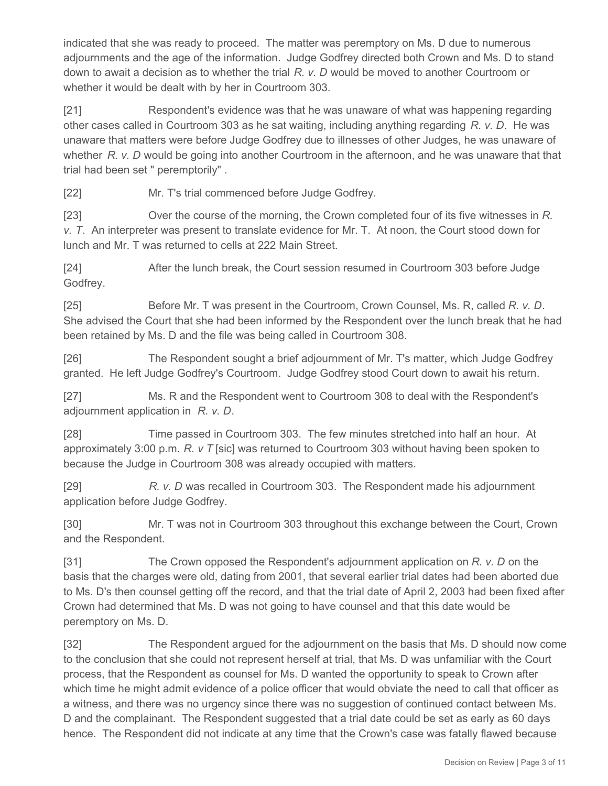indicated that she was ready to proceed. The matter was peremptory on Ms. D due to numerous adjournments and the age of the information. Judge Godfrey directed both Crown and Ms. D to stand down to await a decision as to whether the trial *R. v. D* would be moved to another Courtroom or whether it would be dealt with by her in Courtroom 303.

[21] Respondent's evidence was that he was unaware of what was happening regarding other cases called in Courtroom 303 as he sat waiting, including anything regarding *R. v. D*. He was unaware that matters were before Judge Godfrey due to illnesses of other Judges, he was unaware of whether *R. v. D* would be going into another Courtroom in the afternoon, and he was unaware that that trial had been set " peremptorily" .

[22] Mr. T's trial commenced before Judge Godfrey.

[23] Over the course of the morning, the Crown completed four of its five witnesses in *R. v. T*. An interpreter was present to translate evidence for Mr. T. At noon, the Court stood down for lunch and Mr. T was returned to cells at 222 Main Street.

[24] After the lunch break, the Court session resumed in Courtroom 303 before Judge Godfrey.

[25] Before Mr. T was present in the Courtroom, Crown Counsel, Ms. R, called *R. v. D*. She advised the Court that she had been informed by the Respondent over the lunch break that he had been retained by Ms. D and the file was being called in Courtroom 308.

[26] The Respondent sought a brief adjournment of Mr. T's matter, which Judge Godfrey granted. He left Judge Godfrey's Courtroom. Judge Godfrey stood Court down to await his return.

[27] Ms. R and the Respondent went to Courtroom 308 to deal with the Respondent's adjournment application in *R. v. D*.

[28] Time passed in Courtroom 303. The few minutes stretched into half an hour. At approximately 3:00 p.m. *R. v T* [sic] was returned to Courtroom 303 without having been spoken to because the Judge in Courtroom 308 was already occupied with matters.

[29] *R. v. D* was recalled in Courtroom 303. The Respondent made his adjournment application before Judge Godfrey.

[30] Mr. T was not in Courtroom 303 throughout this exchange between the Court, Crown and the Respondent.

[31] The Crown opposed the Respondent's adjournment application on *R. v. D* on the basis that the charges were old, dating from 2001, that several earlier trial dates had been aborted due to Ms. D's then counsel getting off the record, and that the trial date of April 2, 2003 had been fixed after Crown had determined that Ms. D was not going to have counsel and that this date would be peremptory on Ms. D.

[32] The Respondent argued for the adjournment on the basis that Ms. D should now come to the conclusion that she could not represent herself at trial, that Ms. D was unfamiliar with the Court process, that the Respondent as counsel for Ms. D wanted the opportunity to speak to Crown after which time he might admit evidence of a police officer that would obviate the need to call that officer as a witness, and there was no urgency since there was no suggestion of continued contact between Ms. D and the complainant. The Respondent suggested that a trial date could be set as early as 60 days hence. The Respondent did not indicate at any time that the Crown's case was fatally flawed because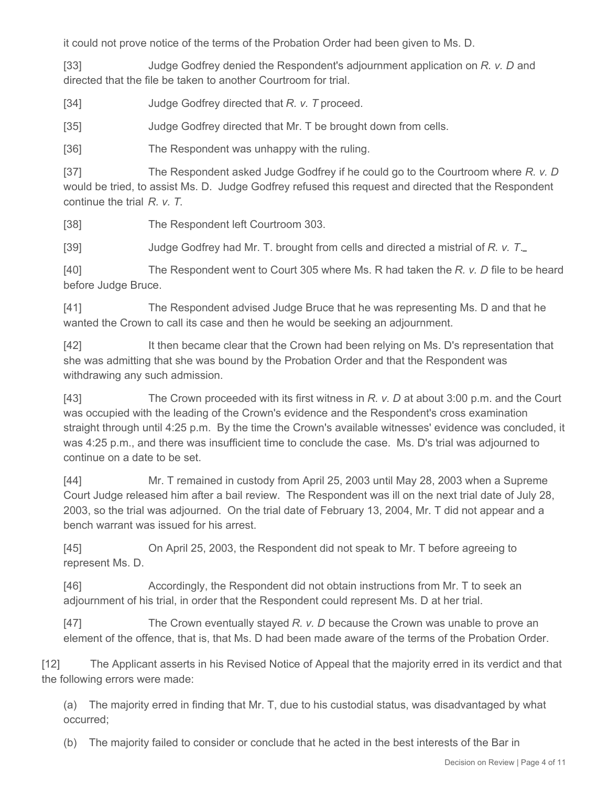it could not prove notice of the terms of the Probation Order had been given to Ms. D.

[33] Judge Godfrey denied the Respondent's adjournment application on *R. v. D* and directed that the file be taken to another Courtroom for trial.

[34] Judge Godfrey directed that *R. v. T* proceed.

[35] Judge Godfrey directed that Mr. T be brought down from cells.

[36] The Respondent was unhappy with the ruling.

[37] The Respondent asked Judge Godfrey if he could go to the Courtroom where *R. v. D* would be tried, to assist Ms. D. Judge Godfrey refused this request and directed that the Respondent continue the trial *R. v. T*.

[38] The Respondent left Courtroom 303.

[39] Judge Godfrey had Mr. T. brought from cells and directed a mistrial of *R. v. T*.

[40] The Respondent went to Court 305 where Ms. R had taken the *R. v. D* file to be heard before Judge Bruce.

[41] The Respondent advised Judge Bruce that he was representing Ms. D and that he wanted the Crown to call its case and then he would be seeking an adjournment.

[42] It then became clear that the Crown had been relying on Ms. D's representation that she was admitting that she was bound by the Probation Order and that the Respondent was withdrawing any such admission.

[43] The Crown proceeded with its first witness in *R. v. D* at about 3:00 p.m. and the Court was occupied with the leading of the Crown's evidence and the Respondent's cross examination straight through until 4:25 p.m. By the time the Crown's available witnesses' evidence was concluded, it was 4:25 p.m., and there was insufficient time to conclude the case. Ms. D's trial was adjourned to continue on a date to be set.

[44] Mr. T remained in custody from April 25, 2003 until May 28, 2003 when a Supreme Court Judge released him after a bail review. The Respondent was ill on the next trial date of July 28, 2003, so the trial was adjourned. On the trial date of February 13, 2004, Mr. T did not appear and a bench warrant was issued for his arrest.

[45] On April 25, 2003, the Respondent did not speak to Mr. T before agreeing to represent Ms. D.

[46] Accordingly, the Respondent did not obtain instructions from Mr. T to seek an adjournment of his trial, in order that the Respondent could represent Ms. D at her trial.

[47] The Crown eventually stayed *R. v. D* because the Crown was unable to prove an element of the offence, that is, that Ms. D had been made aware of the terms of the Probation Order.

[12] The Applicant asserts in his Revised Notice of Appeal that the majority erred in its verdict and that the following errors were made:

(a) The majority erred in finding that Mr. T, due to his custodial status, was disadvantaged by what occurred;

(b) The majority failed to consider or conclude that he acted in the best interests of the Bar in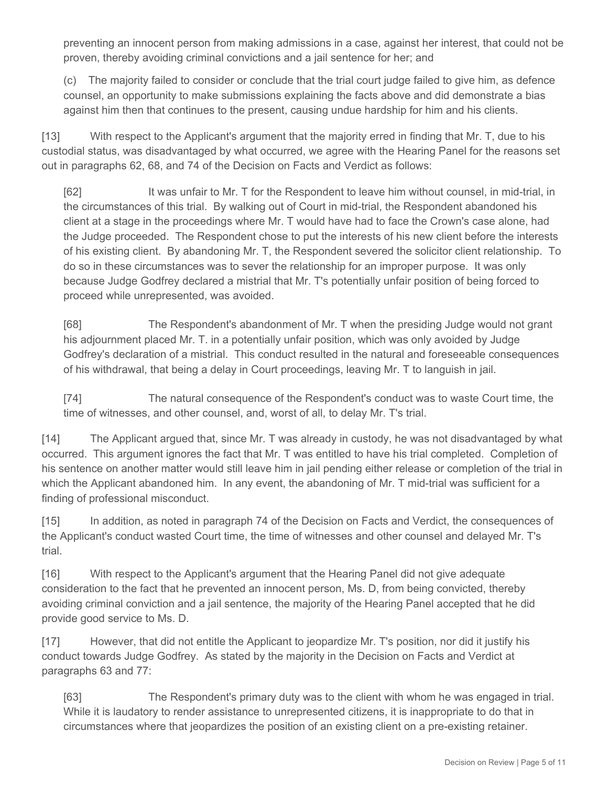preventing an innocent person from making admissions in a case, against her interest, that could not be proven, thereby avoiding criminal convictions and a jail sentence for her; and

(c) The majority failed to consider or conclude that the trial court judge failed to give him, as defence counsel, an opportunity to make submissions explaining the facts above and did demonstrate a bias against him then that continues to the present, causing undue hardship for him and his clients.

[13] With respect to the Applicant's argument that the majority erred in finding that Mr. T, due to his custodial status, was disadvantaged by what occurred, we agree with the Hearing Panel for the reasons set out in paragraphs 62, 68, and 74 of the Decision on Facts and Verdict as follows:

[62] It was unfair to Mr. T for the Respondent to leave him without counsel, in mid-trial, in the circumstances of this trial. By walking out of Court in mid-trial, the Respondent abandoned his client at a stage in the proceedings where Mr. T would have had to face the Crown's case alone, had the Judge proceeded. The Respondent chose to put the interests of his new client before the interests of his existing client. By abandoning Mr. T, the Respondent severed the solicitor client relationship. To do so in these circumstances was to sever the relationship for an improper purpose. It was only because Judge Godfrey declared a mistrial that Mr. T's potentially unfair position of being forced to proceed while unrepresented, was avoided.

[68] The Respondent's abandonment of Mr. T when the presiding Judge would not grant his adjournment placed Mr. T. in a potentially unfair position, which was only avoided by Judge Godfrey's declaration of a mistrial. This conduct resulted in the natural and foreseeable consequences of his withdrawal, that being a delay in Court proceedings, leaving Mr. T to languish in jail.

[74] The natural consequence of the Respondent's conduct was to waste Court time, the time of witnesses, and other counsel, and, worst of all, to delay Mr. T's trial.

[14] The Applicant argued that, since Mr. T was already in custody, he was not disadvantaged by what occurred. This argument ignores the fact that Mr. T was entitled to have his trial completed. Completion of his sentence on another matter would still leave him in jail pending either release or completion of the trial in which the Applicant abandoned him. In any event, the abandoning of Mr. T mid-trial was sufficient for a finding of professional misconduct.

[15] In addition, as noted in paragraph 74 of the Decision on Facts and Verdict, the consequences of the Applicant's conduct wasted Court time, the time of witnesses and other counsel and delayed Mr. T's trial.

[16] With respect to the Applicant's argument that the Hearing Panel did not give adequate consideration to the fact that he prevented an innocent person, Ms. D, from being convicted, thereby avoiding criminal conviction and a jail sentence, the majority of the Hearing Panel accepted that he did provide good service to Ms. D.

[17] However, that did not entitle the Applicant to jeopardize Mr. T's position, nor did it justify his conduct towards Judge Godfrey. As stated by the majority in the Decision on Facts and Verdict at paragraphs 63 and 77:

[63] The Respondent's primary duty was to the client with whom he was engaged in trial. While it is laudatory to render assistance to unrepresented citizens, it is inappropriate to do that in circumstances where that jeopardizes the position of an existing client on a pre-existing retainer.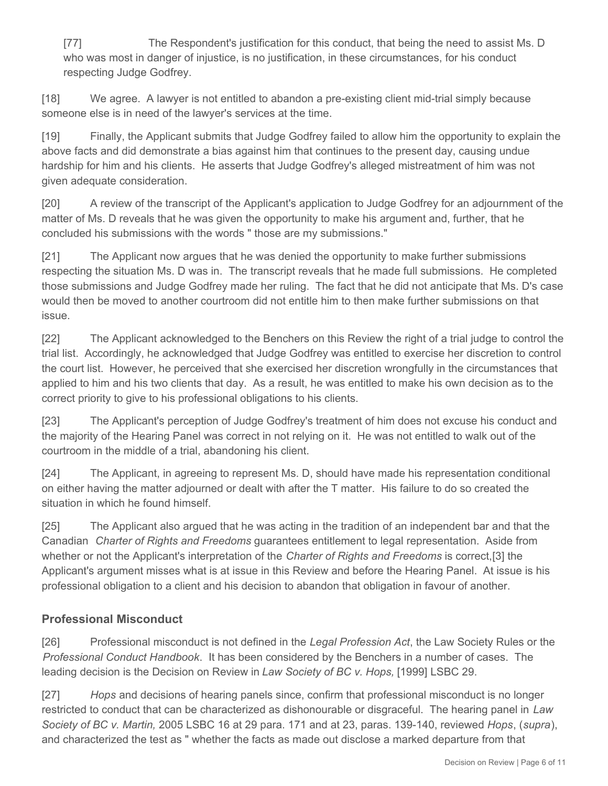[77] The Respondent's justification for this conduct, that being the need to assist Ms. D who was most in danger of injustice, is no justification, in these circumstances, for his conduct respecting Judge Godfrey.

[18] We agree. A lawyer is not entitled to abandon a pre-existing client mid-trial simply because someone else is in need of the lawyer's services at the time.

[19] Finally, the Applicant submits that Judge Godfrey failed to allow him the opportunity to explain the above facts and did demonstrate a bias against him that continues to the present day, causing undue hardship for him and his clients. He asserts that Judge Godfrey's alleged mistreatment of him was not given adequate consideration.

[20] A review of the transcript of the Applicant's application to Judge Godfrey for an adjournment of the matter of Ms. D reveals that he was given the opportunity to make his argument and, further, that he concluded his submissions with the words " those are my submissions."

[21] The Applicant now argues that he was denied the opportunity to make further submissions respecting the situation Ms. D was in. The transcript reveals that he made full submissions. He completed those submissions and Judge Godfrey made her ruling. The fact that he did not anticipate that Ms. D's case would then be moved to another courtroom did not entitle him to then make further submissions on that issue.

[22] The Applicant acknowledged to the Benchers on this Review the right of a trial judge to control the trial list. Accordingly, he acknowledged that Judge Godfrey was entitled to exercise her discretion to control the court list. However, he perceived that she exercised her discretion wrongfully in the circumstances that applied to him and his two clients that day. As a result, he was entitled to make his own decision as to the correct priority to give to his professional obligations to his clients.

[23] The Applicant's perception of Judge Godfrey's treatment of him does not excuse his conduct and the majority of the Hearing Panel was correct in not relying on it. He was not entitled to walk out of the courtroom in the middle of a trial, abandoning his client.

[24] The Applicant, in agreeing to represent Ms. D, should have made his representation conditional on either having the matter adjourned or dealt with after the T matter. His failure to do so created the situation in which he found himself.

[25] The Applicant also argued that he was acting in the tradition of an independent bar and that the Canadian *Charter of Rights and Freedoms* guarantees entitlement to legal representation. Aside from whether or not the Applicant's interpretation of the *Charter of Rights and Freedoms* is correct,[3] the Applicant's argument misses what is at issue in this Review and before the Hearing Panel. At issue is his professional obligation to a client and his decision to abandon that obligation in favour of another.

# **Professional Misconduct**

[26] Professional misconduct is not defined in the *Legal Profession Act*, the Law Society Rules or the *Professional Conduct Handbook*. It has been considered by the Benchers in a number of cases. The leading decision is the Decision on Review in *Law Society of BC v. Hops,* [1999] LSBC 29.

[27] *Hops* and decisions of hearing panels since, confirm that professional misconduct is no longer restricted to conduct that can be characterized as dishonourable or disgraceful. The hearing panel in *Law Society of BC v. Martin,* 2005 LSBC 16 at 29 para. 171 and at 23, paras. 139-140, reviewed *Hops*, (*supra*), and characterized the test as " whether the facts as made out disclose a marked departure from that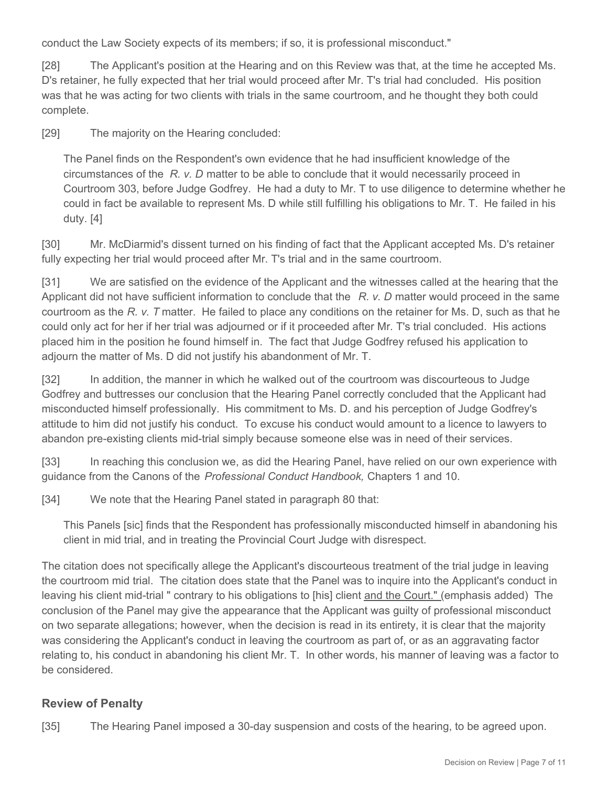conduct the Law Society expects of its members; if so, it is professional misconduct."

[28] The Applicant's position at the Hearing and on this Review was that, at the time he accepted Ms. D's retainer, he fully expected that her trial would proceed after Mr. T's trial had concluded. His position was that he was acting for two clients with trials in the same courtroom, and he thought they both could complete.

[29] The majority on the Hearing concluded:

The Panel finds on the Respondent's own evidence that he had insufficient knowledge of the circumstances of the *R. v. D* matter to be able to conclude that it would necessarily proceed in Courtroom 303, before Judge Godfrey. He had a duty to Mr. T to use diligence to determine whether he could in fact be available to represent Ms. D while still fulfilling his obligations to Mr. T. He failed in his duty. [4]

[30] Mr. McDiarmid's dissent turned on his finding of fact that the Applicant accepted Ms. D's retainer fully expecting her trial would proceed after Mr. T's trial and in the same courtroom.

[31] We are satisfied on the evidence of the Applicant and the witnesses called at the hearing that the Applicant did not have sufficient information to conclude that the *R. v. D* matter would proceed in the same courtroom as the *R. v. T* matter. He failed to place any conditions on the retainer for Ms. D, such as that he could only act for her if her trial was adjourned or if it proceeded after Mr. T's trial concluded. His actions placed him in the position he found himself in. The fact that Judge Godfrey refused his application to adjourn the matter of Ms. D did not justify his abandonment of Mr. T.

[32] In addition, the manner in which he walked out of the courtroom was discourteous to Judge Godfrey and buttresses our conclusion that the Hearing Panel correctly concluded that the Applicant had misconducted himself professionally. His commitment to Ms. D. and his perception of Judge Godfrey's attitude to him did not justify his conduct. To excuse his conduct would amount to a licence to lawyers to abandon pre-existing clients mid-trial simply because someone else was in need of their services.

[33] In reaching this conclusion we, as did the Hearing Panel, have relied on our own experience with guidance from the Canons of the *Professional Conduct Handbook,* Chapters 1 and 10.

[34] We note that the Hearing Panel stated in paragraph 80 that:

This Panels [sic] finds that the Respondent has professionally misconducted himself in abandoning his client in mid trial, and in treating the Provincial Court Judge with disrespect.

The citation does not specifically allege the Applicant's discourteous treatment of the trial judge in leaving the courtroom mid trial. The citation does state that the Panel was to inquire into the Applicant's conduct in leaving his client mid-trial " contrary to his obligations to [his] client and the Court." (emphasis added) The conclusion of the Panel may give the appearance that the Applicant was guilty of professional misconduct on two separate allegations; however, when the decision is read in its entirety, it is clear that the majority was considering the Applicant's conduct in leaving the courtroom as part of, or as an aggravating factor relating to, his conduct in abandoning his client Mr. T. In other words, his manner of leaving was a factor to be considered.

### **Review of Penalty**

[35] The Hearing Panel imposed a 30-day suspension and costs of the hearing, to be agreed upon.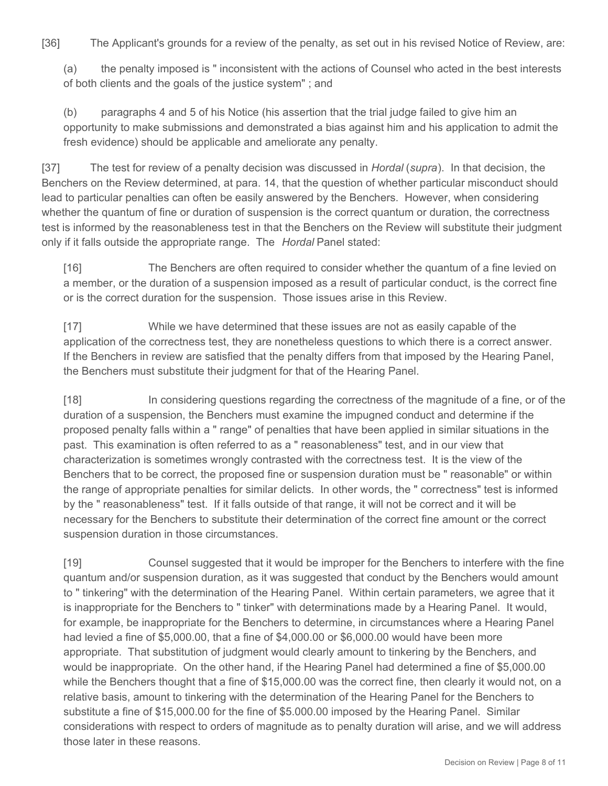[36] The Applicant's grounds for a review of the penalty, as set out in his revised Notice of Review, are:

(a) the penalty imposed is " inconsistent with the actions of Counsel who acted in the best interests of both clients and the goals of the justice system" ; and

(b) paragraphs 4 and 5 of his Notice (his assertion that the trial judge failed to give him an opportunity to make submissions and demonstrated a bias against him and his application to admit the fresh evidence) should be applicable and ameliorate any penalty.

[37] The test for review of a penalty decision was discussed in *Hordal* (*supra*).In that decision, the Benchers on the Review determined, at para. 14, that the question of whether particular misconduct should lead to particular penalties can often be easily answered by the Benchers. However, when considering whether the quantum of fine or duration of suspension is the correct quantum or duration, the correctness test is informed by the reasonableness test in that the Benchers on the Review will substitute their judgment only if it falls outside the appropriate range. The *Hordal* Panel stated:

[16] The Benchers are often required to consider whether the quantum of a fine levied on a member, or the duration of a suspension imposed as a result of particular conduct, is the correct fine or is the correct duration for the suspension. Those issues arise in this Review.

[17] While we have determined that these issues are not as easily capable of the application of the correctness test, they are nonetheless questions to which there is a correct answer. If the Benchers in review are satisfied that the penalty differs from that imposed by the Hearing Panel, the Benchers must substitute their judgment for that of the Hearing Panel.

[18] In considering questions regarding the correctness of the magnitude of a fine, or of the duration of a suspension, the Benchers must examine the impugned conduct and determine if the proposed penalty falls within a " range" of penalties that have been applied in similar situations in the past. This examination is often referred to as a " reasonableness" test, and in our view that characterization is sometimes wrongly contrasted with the correctness test. It is the view of the Benchers that to be correct, the proposed fine or suspension duration must be " reasonable" or within the range of appropriate penalties for similar delicts. In other words, the " correctness" test is informed by the " reasonableness" test. If it falls outside of that range, it will not be correct and it will be necessary for the Benchers to substitute their determination of the correct fine amount or the correct suspension duration in those circumstances.

[19] Counsel suggested that it would be improper for the Benchers to interfere with the fine quantum and/or suspension duration, as it was suggested that conduct by the Benchers would amount to " tinkering" with the determination of the Hearing Panel. Within certain parameters, we agree that it is inappropriate for the Benchers to " tinker" with determinations made by a Hearing Panel. It would, for example, be inappropriate for the Benchers to determine, in circumstances where a Hearing Panel had levied a fine of \$5,000.00, that a fine of \$4,000.00 or \$6,000.00 would have been more appropriate. That substitution of judgment would clearly amount to tinkering by the Benchers, and would be inappropriate. On the other hand, if the Hearing Panel had determined a fine of \$5,000.00 while the Benchers thought that a fine of \$15,000.00 was the correct fine, then clearly it would not, on a relative basis, amount to tinkering with the determination of the Hearing Panel for the Benchers to substitute a fine of \$15,000.00 for the fine of \$5.000.00 imposed by the Hearing Panel. Similar considerations with respect to orders of magnitude as to penalty duration will arise, and we will address those later in these reasons.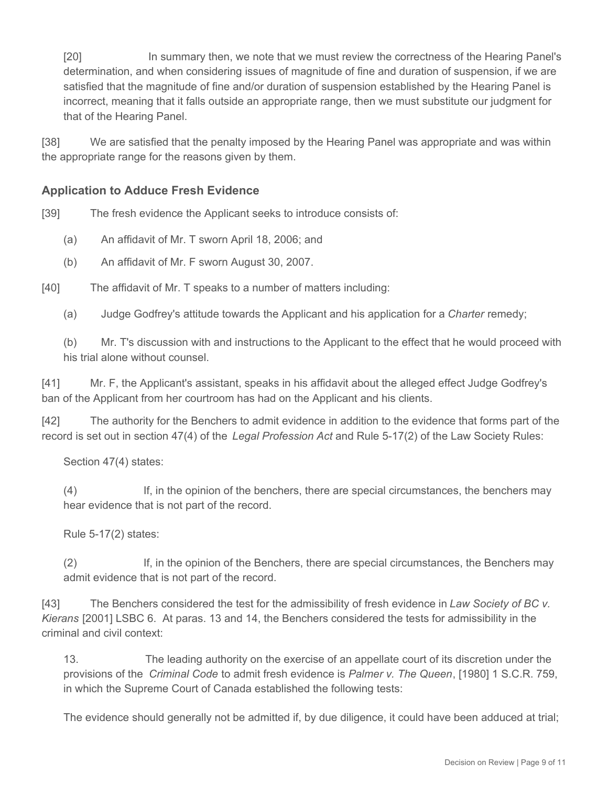[20] In summary then, we note that we must review the correctness of the Hearing Panel's determination, and when considering issues of magnitude of fine and duration of suspension, if we are satisfied that the magnitude of fine and/or duration of suspension established by the Hearing Panel is incorrect, meaning that it falls outside an appropriate range, then we must substitute our judgment for that of the Hearing Panel.

[38] We are satisfied that the penalty imposed by the Hearing Panel was appropriate and was within the appropriate range for the reasons given by them.

# **Application to Adduce Fresh Evidence**

[39] The fresh evidence the Applicant seeks to introduce consists of:

- (a) An affidavit of Mr. T sworn April 18, 2006; and
- (b) An affidavit of Mr. F sworn August 30, 2007.

[40] The affidavit of Mr. T speaks to a number of matters including:

(a) Judge Godfrey's attitude towards the Applicant and his application for a *Charter* remedy;

(b) Mr. T's discussion with and instructions to the Applicant to the effect that he would proceed with his trial alone without counsel.

[41] Mr. F, the Applicant's assistant, speaks in his affidavit about the alleged effect Judge Godfrey's ban of the Applicant from her courtroom has had on the Applicant and his clients.

[42] The authority for the Benchers to admit evidence in addition to the evidence that forms part of the record is set out in section 47(4) of the *Legal Profession Act* and Rule 5-17(2) of the Law Society Rules:

Section 47(4) states:

(4) If, in the opinion of the benchers, there are special circumstances, the benchers may hear evidence that is not part of the record.

Rule 5-17(2) states:

(2) If, in the opinion of the Benchers, there are special circumstances, the Benchers may admit evidence that is not part of the record.

[43] The Benchers considered the test for the admissibility of fresh evidence in *Law Society of BC v. Kierans* [2001] LSBC 6. At paras. 13 and 14, the Benchers considered the tests for admissibility in the criminal and civil context:

13. The leading authority on the exercise of an appellate court of its discretion under the provisions of the *Criminal Code* to admit fresh evidence is *Palmer v. The Queen*, [1980] 1 S.C.R. 759, in which the Supreme Court of Canada established the following tests:

The evidence should generally not be admitted if, by due diligence, it could have been adduced at trial;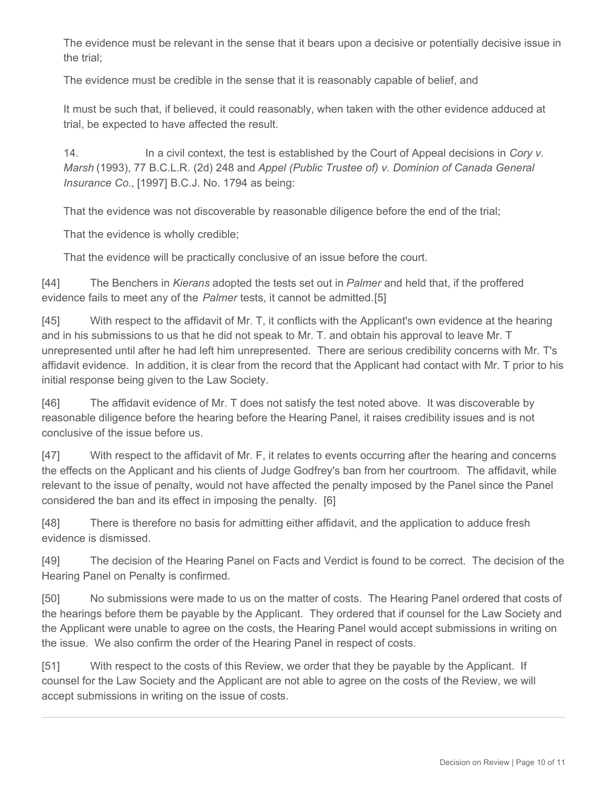The evidence must be relevant in the sense that it bears upon a decisive or potentially decisive issue in the trial;

The evidence must be credible in the sense that it is reasonably capable of belief, and

It must be such that, if believed, it could reasonably, when taken with the other evidence adduced at trial, be expected to have affected the result.

14. In a civil context, the test is established by the Court of Appeal decisions in *Cory v. Marsh* (1993), 77 B.C.L.R. (2d) 248 and *Appel (Public Trustee of) v. Dominion of Canada General Insurance Co.*, [1997] B.C.J. No. 1794 as being:

That the evidence was not discoverable by reasonable diligence before the end of the trial;

That the evidence is wholly credible;

That the evidence will be practically conclusive of an issue before the court.

[44] The Benchers in *Kierans* adopted the tests set out in *Palmer* and held that, if the proffered evidence fails to meet any of the *Palmer* tests, it cannot be admitted.[5]

[45] With respect to the affidavit of Mr. T, it conflicts with the Applicant's own evidence at the hearing and in his submissions to us that he did not speak to Mr. T. and obtain his approval to leave Mr. T unrepresented until after he had left him unrepresented. There are serious credibility concerns with Mr. T's affidavit evidence. In addition, it is clear from the record that the Applicant had contact with Mr. T prior to his initial response being given to the Law Society.

[46] The affidavit evidence of Mr. T does not satisfy the test noted above. It was discoverable by reasonable diligence before the hearing before the Hearing Panel, it raises credibility issues and is not conclusive of the issue before us.

[47] With respect to the affidavit of Mr. F, it relates to events occurring after the hearing and concerns the effects on the Applicant and his clients of Judge Godfrey's ban from her courtroom. The affidavit, while relevant to the issue of penalty, would not have affected the penalty imposed by the Panel since the Panel considered the ban and its effect in imposing the penalty. [6]

[48] There is therefore no basis for admitting either affidavit, and the application to adduce fresh evidence is dismissed.

[49] The decision of the Hearing Panel on Facts and Verdict is found to be correct. The decision of the Hearing Panel on Penalty is confirmed.

[50] No submissions were made to us on the matter of costs. The Hearing Panel ordered that costs of the hearings before them be payable by the Applicant. They ordered that if counsel for the Law Society and the Applicant were unable to agree on the costs, the Hearing Panel would accept submissions in writing on the issue. We also confirm the order of the Hearing Panel in respect of costs.

[51] With respect to the costs of this Review, we order that they be payable by the Applicant. If counsel for the Law Society and the Applicant are not able to agree on the costs of the Review, we will accept submissions in writing on the issue of costs.